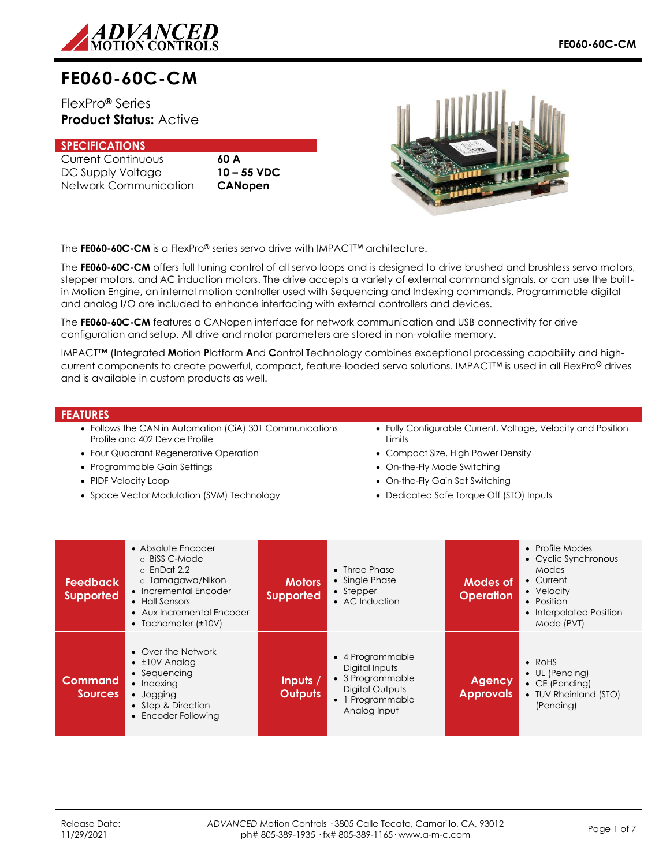

# **FE060-60C-CM**

FlexPro**®** Series **Product Status:** Active

## **SPECIFICATIONS**

Current Continuous **60 A** DC Supply Voltage **10 – 55 VDC** Network Communication **CANopen**



The **FE060-60C-CM** is a FlexPro**®** series servo drive with IMPACT™ architecture.

The **FE060-60C-CM** offers full tuning control of all servo loops and is designed to drive brushed and brushless servo motors, stepper motors, and AC induction motors. The drive accepts a variety of external command signals, or can use the builtin Motion Engine, an internal motion controller used with Sequencing and Indexing commands. Programmable digital and analog I/O are included to enhance interfacing with external controllers and devices.

The **FE060-60C-CM** features a CANopen interface for network communication and USB connectivity for drive configuration and setup. All drive and motor parameters are stored in non-volatile memory.

IMPACT™ (**I**ntegrated **M**otion **P**latform **A**nd **C**ontrol **T**echnology combines exceptional processing capability and highcurrent components to create powerful, compact, feature-loaded servo solutions. IMPACT™ is used in all FlexPro**®** drives and is available in custom products as well.

#### **FEATURES**

- Follows the CAN in Automation (CiA) 301 Communications Profile and 402 Device Profile
- Four Quadrant Regenerative Operation
- Programmable Gain Settings
- PIDF Velocity Loop
- Space Vector Modulation (SVM) Technology
- Fully Configurable Current, Voltage, Velocity and Position Limits
- Compact Size, High Power Density
- On-the-Fly Mode Switching
- On-the-Fly Gain Set Switching
- Dedicated Safe Torque Off (STO) Inputs

| <b>Feedback</b><br><b>Supported</b> | • Absolute Encoder<br>⊙ BiSS C-Mode<br>$\circ$ EnDat 2.2<br>o Tamagawa/Nikon<br>• Incremental Encoder<br>• Hall Sensors<br>• Aux Incremental Encoder<br>• Tachometer $(\pm 10V)$ | <b>Motors</b><br><b>Supported</b> | $\bullet$ Three Phase<br>• Single Phase<br>$\bullet$ Stepper<br>• AC Induction                                | Modes of<br><b>Operation</b>      | • Profile Modes<br>• Cyclic Synchronous<br>Modes<br>• Current<br>• Velocity<br>• Position<br>• Interpolated Position<br>Mode (PVT) |
|-------------------------------------|----------------------------------------------------------------------------------------------------------------------------------------------------------------------------------|-----------------------------------|---------------------------------------------------------------------------------------------------------------|-----------------------------------|------------------------------------------------------------------------------------------------------------------------------------|
| Command<br><b>Sources</b>           | • Over the Network<br>$\bullet$ $\pm$ 10V Analog<br>• Sequencing<br>• Indexing<br>• Jogging<br>• Step & Direction<br>• Encoder Following                                         | Inputs $/$<br><b>Outputs</b>      | • 4 Programmable<br>Digital Inputs<br>• 3 Programmable<br>Digital Outputs<br>• 1 Programmable<br>Analog Input | <b>Agency</b><br><b>Approvals</b> | $\bullet$ RoHS<br>• UL (Pending)<br>$\bullet$ CE (Pending)<br>• TUV Rheinland (STO)<br>(Pending)                                   |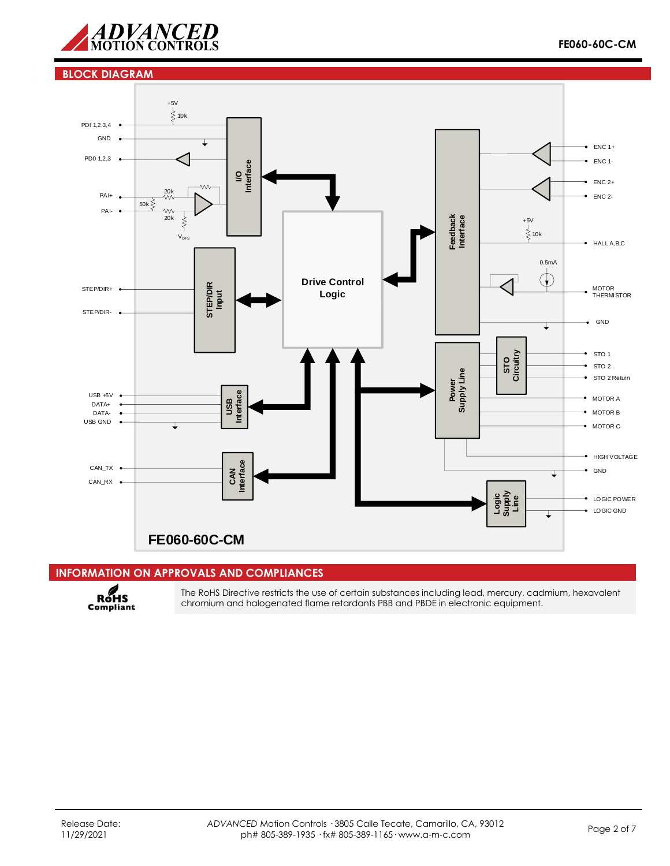

#### **BLOCK DIAGRAM**



## **INFORMATION ON APPROVALS AND COMPLIANCES**



The RoHS Directive restricts the use of certain substances including lead, mercury, cadmium, hexavalent chromium and halogenated flame retardants PBB and PBDE in electronic equipment.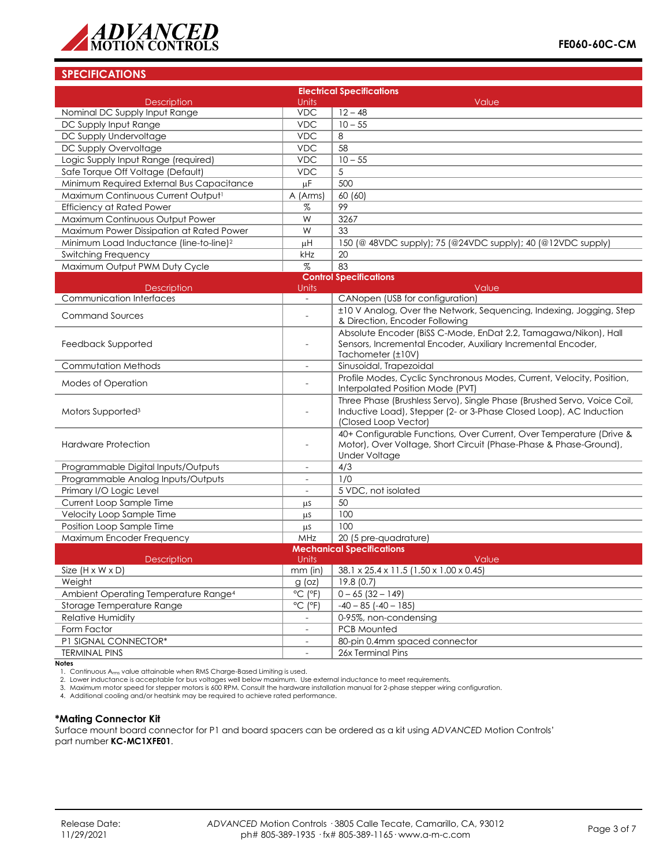

## **SPECIFICATIONS**

| <b>Electrical Specifications</b>                    |                              |                                                                                                                                               |  |  |
|-----------------------------------------------------|------------------------------|-----------------------------------------------------------------------------------------------------------------------------------------------|--|--|
| <b>Description</b><br>Units                         |                              | Value                                                                                                                                         |  |  |
| Nominal DC Supply Input Range                       | <b>VDC</b>                   | $12 - 48$                                                                                                                                     |  |  |
| DC Supply Input Range                               | <b>VDC</b>                   | $10 - 55$                                                                                                                                     |  |  |
| DC Supply Undervoltage                              | <b>VDC</b>                   | 8                                                                                                                                             |  |  |
| DC Supply Overvoltage                               | <b>VDC</b>                   | 58                                                                                                                                            |  |  |
| Logic Supply Input Range (required)                 | <b>VDC</b>                   | $10 - 55$                                                                                                                                     |  |  |
| Safe Torque Off Voltage (Default)                   | <b>VDC</b>                   | 5                                                                                                                                             |  |  |
| Minimum Required External Bus Capacitance           | μF                           | 500                                                                                                                                           |  |  |
| Maximum Continuous Current Output <sup>1</sup>      | A (Arms)                     | 60 (60)                                                                                                                                       |  |  |
| <b>Efficiency at Rated Power</b>                    | %                            | 99                                                                                                                                            |  |  |
| Maximum Continuous Output Power                     | W                            | 3267                                                                                                                                          |  |  |
| Maximum Power Dissipation at Rated Power            | W                            | 33                                                                                                                                            |  |  |
| Minimum Load Inductance (line-to-line) <sup>2</sup> | μH                           | 150 (@ 48VDC supply); 75 (@24VDC supply); 40 (@12VDC supply)                                                                                  |  |  |
| <b>Switching Frequency</b>                          | kHz                          | 20                                                                                                                                            |  |  |
| Maximum Output PWM Duty Cycle                       | $\%$                         | 83                                                                                                                                            |  |  |
|                                                     |                              | <b>Control Specifications</b>                                                                                                                 |  |  |
| <b>Description</b>                                  | Units                        | Value                                                                                                                                         |  |  |
| <b>Communication Interfaces</b>                     |                              | CANopen (USB for configuration)                                                                                                               |  |  |
| <b>Command Sources</b>                              |                              | ±10 V Analog, Over the Network, Sequencing, Indexing, Jogging, Step                                                                           |  |  |
|                                                     |                              | & Direction, Encoder Following                                                                                                                |  |  |
|                                                     |                              | Absolute Encoder (BiSS C-Mode, EnDat 2.2, Tamagawa/Nikon), Hall                                                                               |  |  |
| Feedback Supported                                  |                              | Sensors, Incremental Encoder, Auxiliary Incremental Encoder,                                                                                  |  |  |
|                                                     |                              | Tachometer (±10V)                                                                                                                             |  |  |
| <b>Commutation Methods</b>                          | $\overline{\phantom{a}}$     | Sinusoidal, Trapezoidal                                                                                                                       |  |  |
| <b>Modes of Operation</b>                           |                              | Profile Modes, Cyclic Synchronous Modes, Current, Velocity, Position,<br>Interpolated Position Mode (PVT)                                     |  |  |
| Motors Supported <sup>3</sup>                       | $\overline{a}$               | Three Phase (Brushless Servo), Single Phase (Brushed Servo, Voice Coil,<br>Inductive Load), Stepper (2- or 3-Phase Closed Loop), AC Induction |  |  |
|                                                     |                              | (Closed Loop Vector)                                                                                                                          |  |  |
| <b>Hardware Protection</b>                          | $\overline{a}$               | 40+ Configurable Functions, Over Current, Over Temperature (Drive &<br>Motor), Over Voltage, Short Circuit (Phase-Phase & Phase-Ground),      |  |  |
|                                                     |                              | <b>Under Voltage</b>                                                                                                                          |  |  |
| Programmable Digital Inputs/Outputs                 |                              | 4/3                                                                                                                                           |  |  |
| Programmable Analog Inputs/Outputs                  |                              | 1/0                                                                                                                                           |  |  |
| Primary I/O Logic Level                             | $\overline{\phantom{a}}$     | 5 VDC, not isolated                                                                                                                           |  |  |
| Current Loop Sample Time                            | μS                           | 50                                                                                                                                            |  |  |
| Velocity Loop Sample Time                           | μS                           | 100                                                                                                                                           |  |  |
| Position Loop Sample Time                           | μS                           | 100                                                                                                                                           |  |  |
| Maximum Encoder Frequency                           | MHz                          | 20 (5 pre-quadrature)                                                                                                                         |  |  |
|                                                     |                              | <b>Mechanical Specifications</b>                                                                                                              |  |  |
| <b>Description</b>                                  | Units                        | Value                                                                                                                                         |  |  |
| Size $(H \times W \times D)$                        |                              | mm (in) 38.1 x 25.4 x 11.5 (1.50 x 1.00 x 0.45)                                                                                               |  |  |
| Weight                                              | $g$ (oz)                     | 19.8 (0.7)                                                                                                                                    |  |  |
| Ambient Operating Temperature Range <sup>4</sup>    | $^{\circ}$ C ( $^{\circ}$ F) | $0 - 65$ (32 - 149)                                                                                                                           |  |  |
| Storage Temperature Range                           | $^{\circ}$ C ( $^{\circ}$ F) | $-40 - 85$ ( $-40 - 185$ )                                                                                                                    |  |  |
| <b>Relative Humidity</b>                            |                              | 0-95%, non-condensing                                                                                                                         |  |  |
| Form Factor                                         |                              | PCB Mounted                                                                                                                                   |  |  |
| P1 SIGNAL CONNECTOR*<br>$\blacksquare$              |                              | 80-pin 0.4mm spaced connector                                                                                                                 |  |  |
| <b>TERMINAL PINS</b>                                |                              | 26x Terminal Pins                                                                                                                             |  |  |

**Notes**

1. Continuous A<sub>rms</sub> value attainable when RMS Charge-Based Limiting is used.<br>2. Lower inductance is acceptable for bus voltages well below maximum. Use external inductance to meet requirements.<br>3. Maximum motor speed for

4. Additional cooling and/or heatsink may be required to achieve rated performance.

#### **\*Mating Connector Kit**

Surface mount board connector for P1 and board spacers can be ordered as a kit using *ADVANCED* Motion Controls' part number **KC-MC1XFE01**.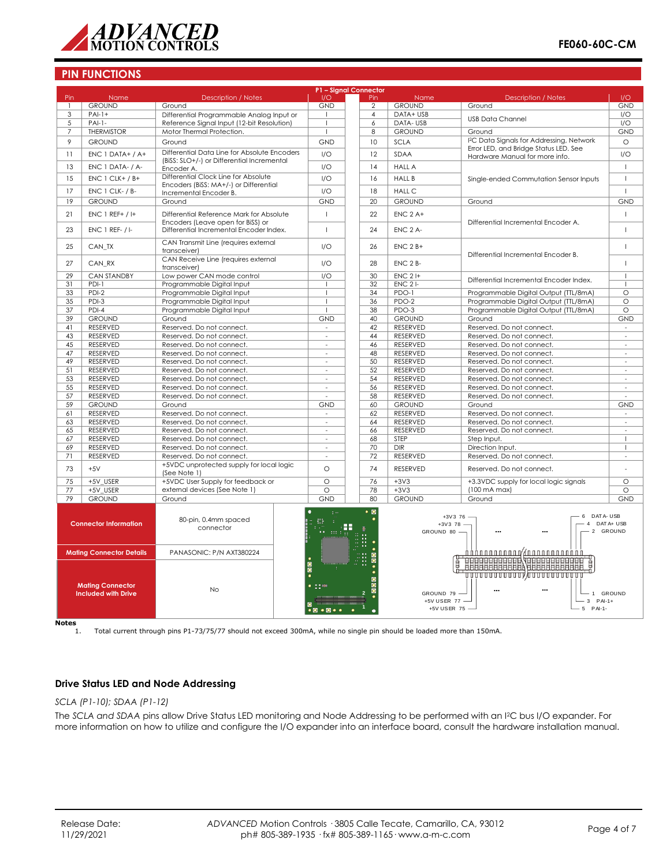

## **PIN FUNCTIONS**

|                 | P1 - Signal Connector                                                                    |                                                                                            |                                                                                                                                                           |                 |                                               |                                                                                                                            |                          |
|-----------------|------------------------------------------------------------------------------------------|--------------------------------------------------------------------------------------------|-----------------------------------------------------------------------------------------------------------------------------------------------------------|-----------------|-----------------------------------------------|----------------------------------------------------------------------------------------------------------------------------|--------------------------|
| Pin             | Name                                                                                     | <b>Description / Notes</b>                                                                 | 1/O                                                                                                                                                       | Pin             | Name                                          | <b>Description / Notes</b>                                                                                                 | 1/O                      |
| $\mathbf{1}$    | <b>GROUND</b>                                                                            | Ground                                                                                     | <b>GND</b>                                                                                                                                                | $\overline{2}$  | <b>GROUND</b>                                 | Ground                                                                                                                     | <b>GND</b>               |
| $\overline{3}$  | $PAI-1+$                                                                                 | Differential Programmable Analog Input or                                                  | $\mathbf{I}$                                                                                                                                              | $\overline{4}$  | DATA+ USB                                     |                                                                                                                            | I/O                      |
| 5               | $PAI-I-$                                                                                 | Reference Signal Input (12-bit Resolution)                                                 |                                                                                                                                                           | 6               | DATA-USB                                      | <b>USB Data Channel</b>                                                                                                    | $\overline{1/O}$         |
| $\overline{7}$  | <b>THERMISTOR</b>                                                                        | Motor Thermal Protection.                                                                  |                                                                                                                                                           | 8               | <b>GROUND</b>                                 | Ground                                                                                                                     | <b>GND</b>               |
| 9               | <b>GROUND</b>                                                                            | Ground                                                                                     | GND                                                                                                                                                       | 10              | <b>SCLA</b>                                   | I <sup>2</sup> C Data Signals for Addressing, Network                                                                      | $\circ$                  |
|                 |                                                                                          |                                                                                            |                                                                                                                                                           |                 |                                               | Error LED, and Bridge Status LED. See                                                                                      |                          |
| 11              | ENC 1 DATA+ / A+                                                                         | Differential Data Line for Absolute Encoders<br>(BiSS: SLO+/-) or Differential Incremental | I/O                                                                                                                                                       | 12              | <b>SDAA</b>                                   | Hardware Manual for more info.                                                                                             | I/O                      |
| 13              | ENC 1 DATA- / A-                                                                         | Encoder A.                                                                                 | 1/O                                                                                                                                                       | 14              | <b>HALL A</b>                                 |                                                                                                                            | $\mathbf{I}$             |
| 15              | $ENC 1 CLK+ / B+$                                                                        | Differential Clock Line for Absolute                                                       | 1/O                                                                                                                                                       | 16              | <b>HALL B</b>                                 | Single-ended Commutation Sensor Inputs                                                                                     | $\overline{1}$           |
| 17              | ENC 1 CLK- / B-                                                                          | Encoders (BiSS: MA+/-) or Differential<br>Incremental Encoder B.                           | 1/O                                                                                                                                                       | 18              | <b>HALL C</b>                                 |                                                                                                                            | $\mathbf{I}$             |
| 19              | <b>GROUND</b>                                                                            | Ground                                                                                     | <b>GND</b>                                                                                                                                                | 20              | <b>GROUND</b>                                 | Ground                                                                                                                     | <b>GND</b>               |
| 21              | $ENC 1 REF+ / H$                                                                         | Differential Reference Mark for Absolute                                                   | $\overline{1}$                                                                                                                                            | 22              | $ENC$ $2A+$                                   |                                                                                                                            | $\mathbf{I}$             |
| 23              | <b>ENC 1 REF- / I-</b>                                                                   | Encoders (Leave open for BiSS) or<br>Differential Incremental Encoder Index.               | $\mathbf{I}$                                                                                                                                              | 24              | ENC <sub>2</sub> A-                           | Differential Incremental Encoder A.                                                                                        | $\mathbf{I}$             |
| 25              | CAN TX                                                                                   | CAN Transmit Line (requires external<br>transceiver)                                       | 1/O                                                                                                                                                       | 26              | $ENC$ $2B+$                                   |                                                                                                                            | $\mathsf I$              |
| 27              | CAN RX                                                                                   | CAN Receive Line (requires external<br>transceiver)                                        | 1/O                                                                                                                                                       | 28              | $ENC$ $2B$ -                                  | Differential Incremental Encoder B.                                                                                        | $\mathbf{I}$             |
| 29              | <b>CAN STANDBY</b>                                                                       | Low power CAN mode control                                                                 | 1/O                                                                                                                                                       | 30              | $ENC$ 2 $H$                                   | Differential Incremental Encoder Index.                                                                                    | $\mathbf{I}$             |
| 31              | $PDI-1$                                                                                  | Programmable Digital Input                                                                 | $\overline{1}$                                                                                                                                            | 32              | $ENC$ 2 $I-$                                  |                                                                                                                            | $\mathbf{I}$             |
| 33              | PDI-2                                                                                    | Programmable Digital Input                                                                 |                                                                                                                                                           | 34              | PDO-1                                         | Programmable Digital Output (TTL/8mA)                                                                                      | $\circ$                  |
| 35              | PDI-3                                                                                    | Programmable Digital Input                                                                 |                                                                                                                                                           | 36              | PDO-2                                         | Programmable Digital Output (TTL/8mA)                                                                                      | $\circ$                  |
| 37              | $PDI-4$                                                                                  | Programmable Digital Input                                                                 |                                                                                                                                                           | 38              | PDO-3                                         | Programmable Digital Output (TTL/8mA)                                                                                      | $\circ$                  |
| 39              | <b>GROUND</b>                                                                            | Ground                                                                                     | GND                                                                                                                                                       | 40              | <b>GROUND</b>                                 | Ground                                                                                                                     | <b>GND</b>               |
| 41              | <b>RESERVED</b>                                                                          | Reserved. Do not connect.                                                                  | $\bar{z}$                                                                                                                                                 | 42              | <b>RESERVED</b>                               | Reserved. Do not connect.                                                                                                  | $\omega$                 |
| 43              | RESERVED                                                                                 | Reserved. Do not connect.                                                                  | $\sim$                                                                                                                                                    | 44              | RESERVED                                      | Reserved. Do not connect.                                                                                                  | $\overline{\phantom{a}}$ |
| 45              | <b>RESERVED</b>                                                                          | Reserved. Do not connect.                                                                  | $\sim$                                                                                                                                                    | 46              | <b>RESERVED</b>                               | Reserved. Do not connect.                                                                                                  | $\overline{\phantom{a}}$ |
| 47              |                                                                                          |                                                                                            | $\overline{a}$                                                                                                                                            | 48              | <b>RESERVED</b>                               |                                                                                                                            | $\overline{a}$           |
|                 | RESERVED                                                                                 | Reserved. Do not connect.                                                                  |                                                                                                                                                           |                 |                                               | Reserved. Do not connect.                                                                                                  |                          |
| 49              | <b>RESERVED</b>                                                                          | Reserved. Do not connect.                                                                  | $\sim$                                                                                                                                                    | 50              | <b>RESERVED</b>                               | Reserved. Do not connect.                                                                                                  | ÷,                       |
| 51              | RESERVED                                                                                 | Reserved. Do not connect.                                                                  | $\overline{\phantom{a}}$                                                                                                                                  | 52              | <b>RESERVED</b>                               | Reserved. Do not connect.                                                                                                  | $\overline{\phantom{a}}$ |
| 53              | RESERVED                                                                                 | Reserved. Do not connect.                                                                  | $\overline{a}$                                                                                                                                            | 54              | RESERVED                                      | Reserved. Do not connect.                                                                                                  | ÷                        |
| 55              | RESERVED                                                                                 | Reserved. Do not connect.                                                                  | $\sim$                                                                                                                                                    | 56              | <b>RESERVED</b>                               | Reserved. Do not connect.                                                                                                  | $\overline{\phantom{a}}$ |
| 57              | RESERVED                                                                                 | Reserved. Do not connect.                                                                  | $\overline{a}$                                                                                                                                            | 58              | <b>RESERVED</b>                               | Reserved. Do not connect.                                                                                                  | ÷,                       |
| 59              | <b>GROUND</b>                                                                            | Ground                                                                                     | <b>GND</b>                                                                                                                                                | 60              | <b>GROUND</b>                                 | Ground                                                                                                                     | <b>GND</b>               |
| 61              | RESERVED                                                                                 | Reserved. Do not connect.                                                                  | $\sim$                                                                                                                                                    | 62              | RESERVED                                      | Reserved. Do not connect.                                                                                                  | $\sim$                   |
| 63              | RESERVED                                                                                 | Reserved. Do not connect.                                                                  | ÷.                                                                                                                                                        | 64              | RESERVED                                      | Reserved. Do not connect.                                                                                                  | ÷.                       |
| 65              | <b>RESERVED</b>                                                                          | Reserved. Do not connect.                                                                  | ÷.                                                                                                                                                        | 66              | RESERVED                                      | Reserved. Do not connect.                                                                                                  | ä,                       |
| 67              | RESERVED                                                                                 | Reserved. Do not connect.                                                                  | $\omega$                                                                                                                                                  | 68              | STEP                                          | Step Input.                                                                                                                | $\mathbf{I}$             |
| 69              | <b>RESERVED</b>                                                                          | Reserved. Do not connect.                                                                  | $\sim$                                                                                                                                                    | 70              | <b>DIR</b>                                    | Direction Input.                                                                                                           | $\mathbf{I}$             |
| 71              | RESERVED                                                                                 | Reserved. Do not connect.                                                                  | $\sim$                                                                                                                                                    | 72              | RESERVED                                      | Reserved. Do not connect.                                                                                                  | $\sim$                   |
|                 |                                                                                          | +5VDC unprotected supply for local logic                                                   |                                                                                                                                                           |                 |                                               |                                                                                                                            |                          |
| 73              | $+5V$                                                                                    | (See Note 1)                                                                               | $\Omega$                                                                                                                                                  | 74              | <b>RESERVED</b>                               | Reserved. Do not connect.                                                                                                  |                          |
| $\overline{75}$ | +5V USER                                                                                 | +5VDC User Supply for feedback or                                                          | $\circ$                                                                                                                                                   | $\overline{76}$ | $+3V3$                                        | +3.3VDC supply for local logic signals                                                                                     | $\circ$                  |
| 77              | +5V_USER                                                                                 | external devices (See Note 1)                                                              | $\overline{\circ}$                                                                                                                                        | 78              | $+3V3$                                        | (100 mA max)                                                                                                               | $\overline{\circ}$       |
| 79              | <b>GROUND</b>                                                                            | Ground                                                                                     | <b>GND</b>                                                                                                                                                | 80              | <b>GROUND</b>                                 | Ground                                                                                                                     | <b>GND</b>               |
|                 | <b>Connector Information</b>                                                             | 80-pin, 0.4mm spaced<br>connector                                                          |                                                                                                                                                           | $\bullet$ 0     | $+3V378$<br>GROUND 80 -                       | DAT A- USB<br>6<br>$+3V3$ 76 -<br>$\Delta$                                                                                 | DAT A+ USB<br>2 GROUND   |
|                 | <b>Mating Connector Details</b><br><b>Mating Connector</b><br><b>Included with Drive</b> | PANASONIC: P/N AXT380224<br><b>No</b>                                                      | $\bullet$<br>$1 - 10$                                                                                                                                     |                 | GROUND 79 -<br>+5V USER 77 -<br>+5V USER 75 - | <b>FILER REAL ARTICLE AND REAL PROPERTY.</b><br>,,,,,,,,,,,,,,,,,,,,,,,,,,,,,,,,<br>$\mathbf{1}$<br>$3$ PAI-1+<br>5 PAI-1- | <b>GROUND</b>            |
|                 |                                                                                          |                                                                                            | $\bullet\textcolor{red}{\bullet}\textcolor{red}{\bullet}\textcolor{red}{\bullet}\textcolor{red}{\bullet}\textcolor{red}{\bullet}\textcolor{red}{\bullet}$ |                 |                                               |                                                                                                                            |                          |

 $\overline{\text{Notes}}$ <sub>1.</sub>

1. Total current through pins P1-73/75/77 should not exceed 300mA, while no single pin should be loaded more than 150mA.

#### **Drive Status LED and Node Addressing**

#### *SCLA (P1-10); SDAA (P1-12)*

The *SCLA and SDAA* pins allow Drive Status LED monitoring and Node Addressing to be performed with an I2C bus I/O expander. For more information on how to utilize and configure the I/O expander into an interface board, consult the hardware installation manual.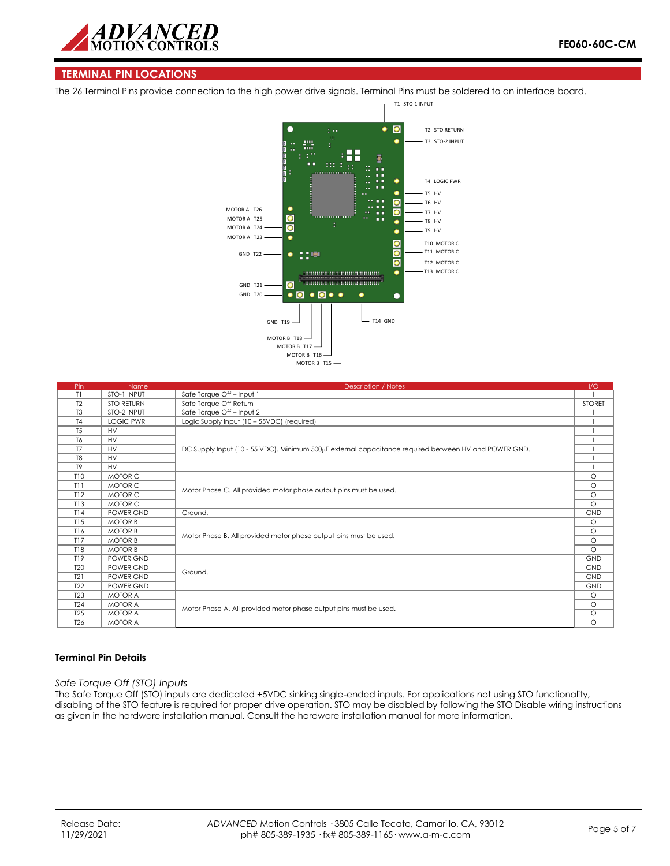

### **TERMINAL PIN LOCATIONS**

The 26 Terminal Pins provide connection to the high power drive signals. Terminal Pins must be soldered to an interface board.



| Pin             | Name              | <b>Description / Notes</b>                                                                           | 1/O           |
|-----------------|-------------------|------------------------------------------------------------------------------------------------------|---------------|
| T1              | STO-1 INPUT       | Safe Torque Off - Input 1                                                                            |               |
| T <sub>2</sub>  | <b>STO RETURN</b> | Safe Torque Off Return                                                                               | <b>STORET</b> |
| T <sub>3</sub>  | STO-2 INPUT       | Safe Torque Off - Input 2                                                                            |               |
| T <sub>4</sub>  | <b>LOGIC PWR</b>  | Logic Supply Input (10 - 55VDC) (required)                                                           |               |
| T <sub>5</sub>  | <b>HV</b>         |                                                                                                      |               |
| T <sub>6</sub>  | <b>HV</b>         | DC Supply Input (10 - 55 VDC). Minimum 500µF external capacitance required between HV and POWER GND. |               |
| T7              | <b>HV</b>         |                                                                                                      |               |
| T <sub>8</sub>  | <b>HV</b>         |                                                                                                      |               |
| T <sub>9</sub>  | <b>HV</b>         |                                                                                                      |               |
| <b>T10</b>      | MOTOR C           |                                                                                                      | $\circ$       |
| T11             | MOTOR C           |                                                                                                      | $\circ$       |
| T12             | MOTOR C           | Motor Phase C. All provided motor phase output pins must be used.                                    |               |
| T13             | MOTOR C           |                                                                                                      |               |
| T14             | POWER GND         | Ground.                                                                                              | <b>GND</b>    |
| T15             | <b>MOTOR B</b>    |                                                                                                      | $\circ$       |
| T16             | <b>MOTOR B</b>    |                                                                                                      | $\circ$       |
| T17             | <b>MOTOR B</b>    | Motor Phase B. All provided motor phase output pins must be used.                                    |               |
| T18             | <b>MOTOR B</b>    |                                                                                                      | $\Omega$      |
| T19             | POWER GND         |                                                                                                      | <b>GND</b>    |
| <b>T20</b>      | POWER GND         |                                                                                                      | <b>GND</b>    |
| T21             | POWER GND         | Ground.                                                                                              | <b>GND</b>    |
| T <sub>22</sub> | POWER GND         |                                                                                                      | <b>GND</b>    |
| T <sub>23</sub> | <b>MOTOR A</b>    |                                                                                                      | $\circ$       |
| T <sub>24</sub> | <b>MOTOR A</b>    | Motor Phase A. All provided motor phase output pins must be used.                                    | $\circ$       |
| T <sub>25</sub> | <b>MOTOR A</b>    |                                                                                                      | $\circ$       |
| T <sub>26</sub> | <b>MOTOR A</b>    |                                                                                                      | $\circ$       |

#### **Terminal Pin Details**

#### *Safe Torque Off (STO) Inputs*

The Safe Torque Off (STO) inputs are dedicated +5VDC sinking single-ended inputs. For applications not using STO functionality, disabling of the STO feature is required for proper drive operation. STO may be disabled by following the STO Disable wiring instructions as given in the hardware installation manual. Consult the hardware installation manual for more information.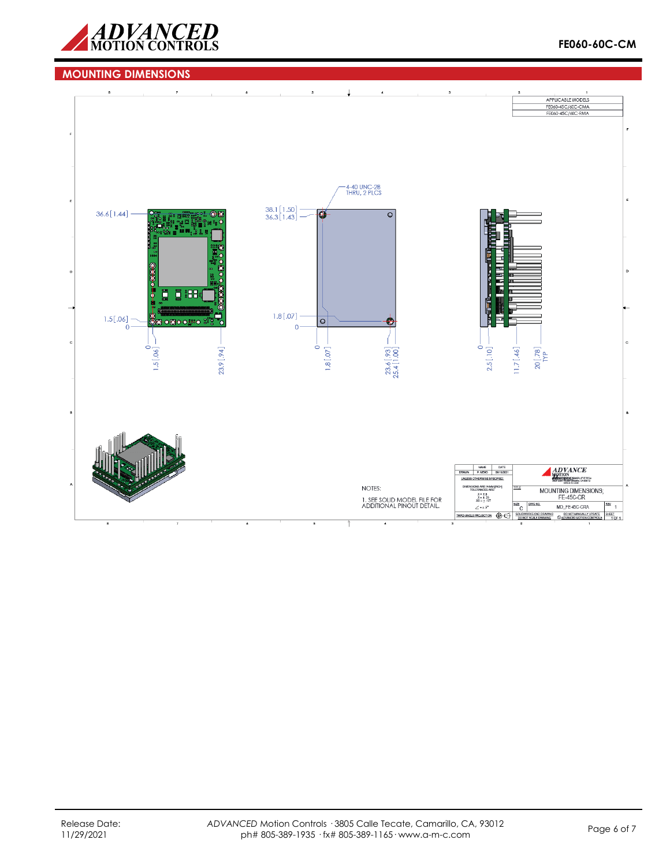

## **MOUNTING DIMENSIONS**